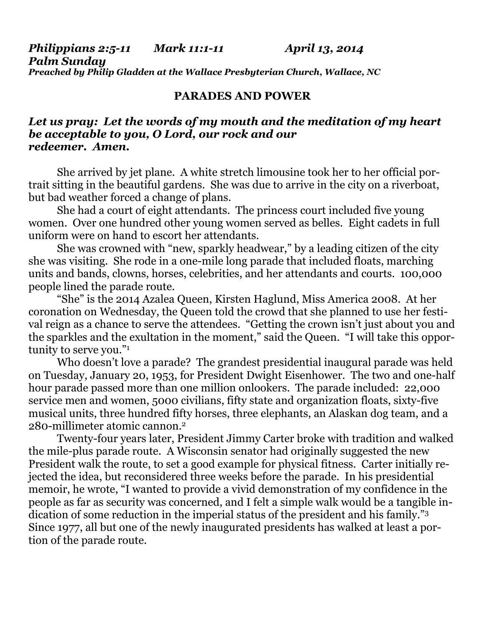*Philippians 2:5-11 Mark 11:1-11 April 13, 2014 Palm Sunday Preached by Philip Gladden at the Wallace Presbyterian Church, Wallace, NC* 

## **PARADES AND POWER**

## *Let us pray: Let the words of my mouth and the meditation of my heart be acceptable to you, O Lord, our rock and our redeemer. Amen.*

She arrived by jet plane. A white stretch limousine took her to her official portrait sitting in the beautiful gardens. She was due to arrive in the city on a riverboat, but bad weather forced a change of plans.

 She had a court of eight attendants. The princess court included five young women. Over one hundred other young women served as belles. Eight cadets in full uniform were on hand to escort her attendants.

 She was crowned with "new, sparkly headwear," by a leading citizen of the city she was visiting. She rode in a one-mile long parade that included floats, marching units and bands, clowns, horses, celebrities, and her attendants and courts. 100,000 people lined the parade route.

 "She" is the 2014 Azalea Queen, Kirsten Haglund, Miss America 2008. At her coronation on Wednesday, the Queen told the crowd that she planned to use her festival reign as a chance to serve the attendees. "Getting the crown isn't just about you and the sparkles and the exultation in the moment," said the Queen. "I will take this opportunity to serve you."<sup>1</sup>

Who doesn't love a parade? The grandest presidential inaugural parade was held on Tuesday, January 20, 1953, for President Dwight Eisenhower. The two and one-half hour parade passed more than one million onlookers. The parade included: 22,000 service men and women, 5000 civilians, fifty state and organization floats, sixty-five musical units, three hundred fifty horses, three elephants, an Alaskan dog team, and a 280-millimeter atomic cannon.2

Twenty-four years later, President Jimmy Carter broke with tradition and walked the mile-plus parade route. A Wisconsin senator had originally suggested the new President walk the route, to set a good example for physical fitness. Carter initially rejected the idea, but reconsidered three weeks before the parade. In his presidential memoir, he wrote, "I wanted to provide a vivid demonstration of my confidence in the people as far as security was concerned, and I felt a simple walk would be a tangible indication of some reduction in the imperial status of the president and his family."3 Since 1977, all but one of the newly inaugurated presidents has walked at least a portion of the parade route.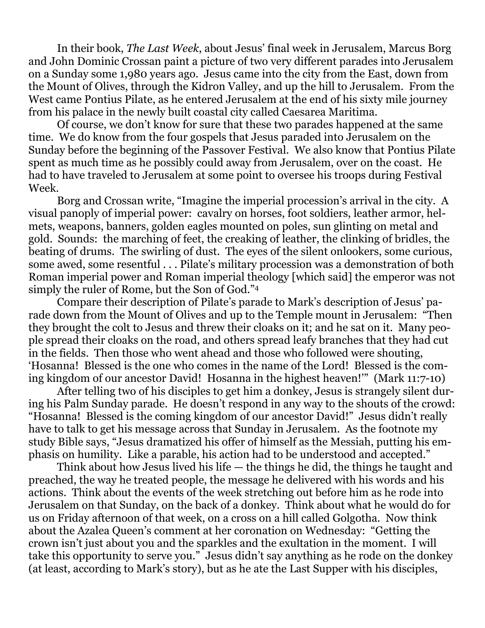In their book, *The Last Week*, about Jesus' final week in Jerusalem, Marcus Borg and John Dominic Crossan paint a picture of two very different parades into Jerusalem on a Sunday some 1,980 years ago. Jesus came into the city from the East, down from the Mount of Olives, through the Kidron Valley, and up the hill to Jerusalem. From the West came Pontius Pilate, as he entered Jerusalem at the end of his sixty mile journey from his palace in the newly built coastal city called Caesarea Maritima.

 Of course, we don't know for sure that these two parades happened at the same time. We do know from the four gospels that Jesus paraded into Jerusalem on the Sunday before the beginning of the Passover Festival. We also know that Pontius Pilate spent as much time as he possibly could away from Jerusalem, over on the coast. He had to have traveled to Jerusalem at some point to oversee his troops during Festival Week.

 Borg and Crossan write, "Imagine the imperial procession's arrival in the city. A visual panoply of imperial power: cavalry on horses, foot soldiers, leather armor, helmets, weapons, banners, golden eagles mounted on poles, sun glinting on metal and gold. Sounds: the marching of feet, the creaking of leather, the clinking of bridles, the beating of drums. The swirling of dust. The eyes of the silent onlookers, some curious, some awed, some resentful . . . Pilate's military procession was a demonstration of both Roman imperial power and Roman imperial theology [which said] the emperor was not simply the ruler of Rome, but the Son of God."4

Compare their description of Pilate's parade to Mark's description of Jesus' parade down from the Mount of Olives and up to the Temple mount in Jerusalem: "Then they brought the colt to Jesus and threw their cloaks on it; and he sat on it. Many people spread their cloaks on the road, and others spread leafy branches that they had cut in the fields. Then those who went ahead and those who followed were shouting, 'Hosanna! Blessed is the one who comes in the name of the Lord! Blessed is the coming kingdom of our ancestor David! Hosanna in the highest heaven!'" (Mark 11:7-10)

 After telling two of his disciples to get him a donkey, Jesus is strangely silent during his Palm Sunday parade. He doesn't respond in any way to the shouts of the crowd: "Hosanna! Blessed is the coming kingdom of our ancestor David!" Jesus didn't really have to talk to get his message across that Sunday in Jerusalem. As the footnote my study Bible says, "Jesus dramatized his offer of himself as the Messiah, putting his emphasis on humility. Like a parable, his action had to be understood and accepted."

 Think about how Jesus lived his life — the things he did, the things he taught and preached, the way he treated people, the message he delivered with his words and his actions. Think about the events of the week stretching out before him as he rode into Jerusalem on that Sunday, on the back of a donkey. Think about what he would do for us on Friday afternoon of that week, on a cross on a hill called Golgotha. Now think about the Azalea Queen's comment at her coronation on Wednesday: "Getting the crown isn't just about you and the sparkles and the exultation in the moment. I will take this opportunity to serve you." Jesus didn't say anything as he rode on the donkey (at least, according to Mark's story), but as he ate the Last Supper with his disciples,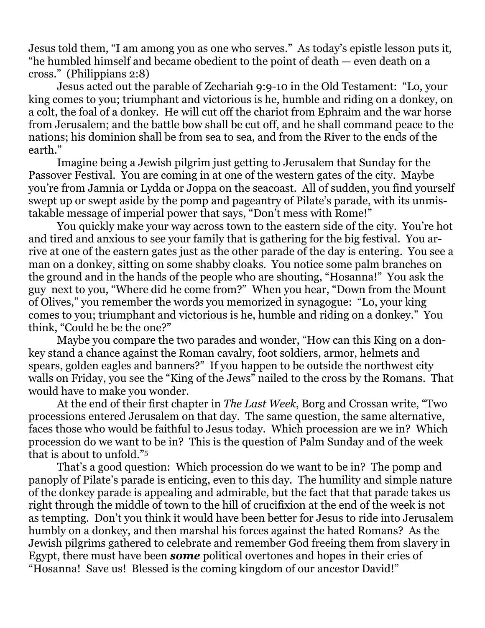Jesus told them, "I am among you as one who serves." As today's epistle lesson puts it, "he humbled himself and became obedient to the point of death — even death on a cross." (Philippians 2:8)

 Jesus acted out the parable of Zechariah 9:9-10 in the Old Testament: "Lo, your king comes to you; triumphant and victorious is he, humble and riding on a donkey, on a colt, the foal of a donkey. He will cut off the chariot from Ephraim and the war horse from Jerusalem; and the battle bow shall be cut off, and he shall command peace to the nations; his dominion shall be from sea to sea, and from the River to the ends of the earth."

 Imagine being a Jewish pilgrim just getting to Jerusalem that Sunday for the Passover Festival. You are coming in at one of the western gates of the city. Maybe you're from Jamnia or Lydda or Joppa on the seacoast. All of sudden, you find yourself swept up or swept aside by the pomp and pageantry of Pilate's parade, with its unmistakable message of imperial power that says, "Don't mess with Rome!"

 You quickly make your way across town to the eastern side of the city. You're hot and tired and anxious to see your family that is gathering for the big festival. You arrive at one of the eastern gates just as the other parade of the day is entering. You see a man on a donkey, sitting on some shabby cloaks. You notice some palm branches on the ground and in the hands of the people who are shouting, "Hosanna!" You ask the guy next to you, "Where did he come from?" When you hear, "Down from the Mount of Olives," you remember the words you memorized in synagogue: "Lo, your king comes to you; triumphant and victorious is he, humble and riding on a donkey." You think, "Could he be the one?"

 Maybe you compare the two parades and wonder, "How can this King on a donkey stand a chance against the Roman cavalry, foot soldiers, armor, helmets and spears, golden eagles and banners?" If you happen to be outside the northwest city walls on Friday, you see the "King of the Jews" nailed to the cross by the Romans. That would have to make you wonder.

 At the end of their first chapter in *The Last Week*, Borg and Crossan write, "Two processions entered Jerusalem on that day. The same question, the same alternative, faces those who would be faithful to Jesus today. Which procession are we in? Which procession do we want to be in? This is the question of Palm Sunday and of the week that is about to unfold."5

That's a good question: Which procession do we want to be in? The pomp and panoply of Pilate's parade is enticing, even to this day. The humility and simple nature of the donkey parade is appealing and admirable, but the fact that that parade takes us right through the middle of town to the hill of crucifixion at the end of the week is not as tempting. Don't you think it would have been better for Jesus to ride into Jerusalem humbly on a donkey, and then marshal his forces against the hated Romans? As the Jewish pilgrims gathered to celebrate and remember God freeing them from slavery in Egypt, there must have been *some* political overtones and hopes in their cries of "Hosanna! Save us! Blessed is the coming kingdom of our ancestor David!"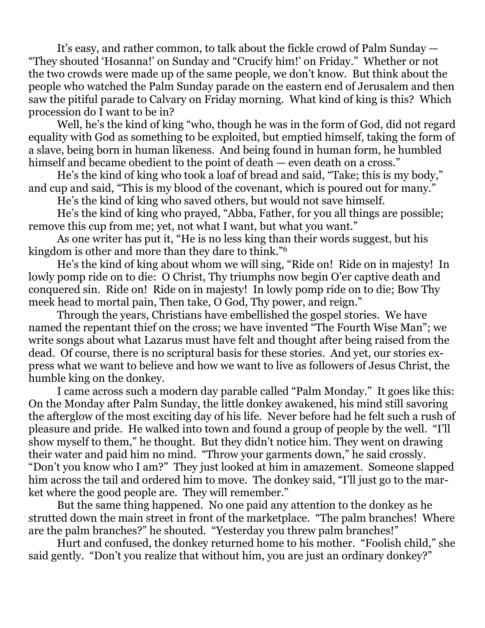It's easy, and rather common, to talk about the fickle crowd of Palm Sunday — "They shouted 'Hosanna!' on Sunday and "Crucify him!' on Friday." Whether or not the two crowds were made up of the same people, we don't know. But think about the people who watched the Palm Sunday parade on the eastern end of Jerusalem and then saw the pitiful parade to Calvary on Friday morning. What kind of king is this? Which procession do I want to be in?

 Well, he's the kind of king "who, though he was in the form of God, did not regard equality with God as something to be exploited, but emptied himself, taking the form of a slave, being born in human likeness. And being found in human form, he humbled himself and became obedient to the point of death — even death on a cross."

 He's the kind of king who took a loaf of bread and said, "Take; this is my body," and cup and said, "This is my blood of the covenant, which is poured out for many."

He's the kind of king who saved others, but would not save himself.

 He's the kind of king who prayed, "Abba, Father, for you all things are possible; remove this cup from me; yet, not what I want, but what you want."

 As one writer has put it, "He is no less king than their words suggest, but his kingdom is other and more than they dare to think."6

 He's the kind of king about whom we will sing, "Ride on! Ride on in majesty! In lowly pomp ride on to die: O Christ, Thy triumphs now begin O'er captive death and conquered sin. Ride on! Ride on in majesty! In lowly pomp ride on to die; Bow Thy meek head to mortal pain, Then take, O God, Thy power, and reign."

 Through the years, Christians have embellished the gospel stories. We have named the repentant thief on the cross; we have invented "The Fourth Wise Man"; we write songs about what Lazarus must have felt and thought after being raised from the dead. Of course, there is no scriptural basis for these stories. And yet, our stories express what we want to believe and how we want to live as followers of Jesus Christ, the humble king on the donkey.

 I came across such a modern day parable called "Palm Monday." It goes like this: On the Monday after Palm Sunday, the little donkey awakened, his mind still savoring the afterglow of the most exciting day of his life. Never before had he felt such a rush of pleasure and pride. He walked into town and found a group of people by the well. "I'll show myself to them," he thought. But they didn't notice him. They went on drawing their water and paid him no mind. "Throw your garments down," he said crossly. "Don't you know who I am?" They just looked at him in amazement. Someone slapped him across the tail and ordered him to move. The donkey said, "I'll just go to the market where the good people are. They will remember."

 But the same thing happened. No one paid any attention to the donkey as he strutted down the main street in front of the marketplace. "The palm branches! Where are the palm branches?" he shouted. "Yesterday you threw palm branches!"

 Hurt and confused, the donkey returned home to his mother. "Foolish child," she said gently. "Don't you realize that without him, you are just an ordinary donkey?"